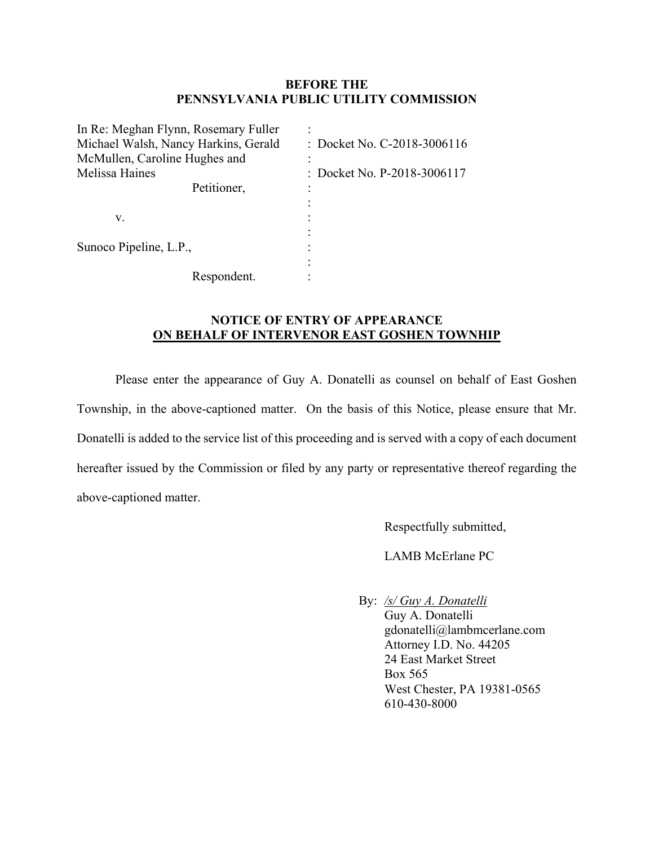## **BEFORE THE PENNSYLVANIA PUBLIC UTILITY COMMISSION**

| In Re: Meghan Flynn, Rosemary Fuller |                             |
|--------------------------------------|-----------------------------|
| Michael Walsh, Nancy Harkins, Gerald | : Docket No. C-2018-3006116 |
| McMullen, Caroline Hughes and        |                             |
| Melissa Haines                       | : Docket No. P-2018-3006117 |
| Petitioner,                          |                             |
|                                      |                             |
| v.                                   |                             |
|                                      |                             |
| Sunoco Pipeline, L.P.,               |                             |
|                                      |                             |
| Respondent.                          |                             |

## **NOTICE OF ENTRY OF APPEARANCE ON BEHALF OF INTERVENOR EAST GOSHEN TOWNHIP**

Please enter the appearance of Guy A. Donatelli as counsel on behalf of East Goshen Township, in the above-captioned matter. On the basis of this Notice, please ensure that Mr. Donatelli is added to the service list of this proceeding and is served with a copy of each document hereafter issued by the Commission or filed by any party or representative thereof regarding the above-captioned matter.

Respectfully submitted,

LAMB McErlane PC

By: */s/ Guy A. Donatelli* 

 Guy A. Donatelli gdonatelli@lambmcerlane.com Attorney I.D. No. 44205 24 East Market Street Box 565 West Chester, PA 19381-0565 610-430-8000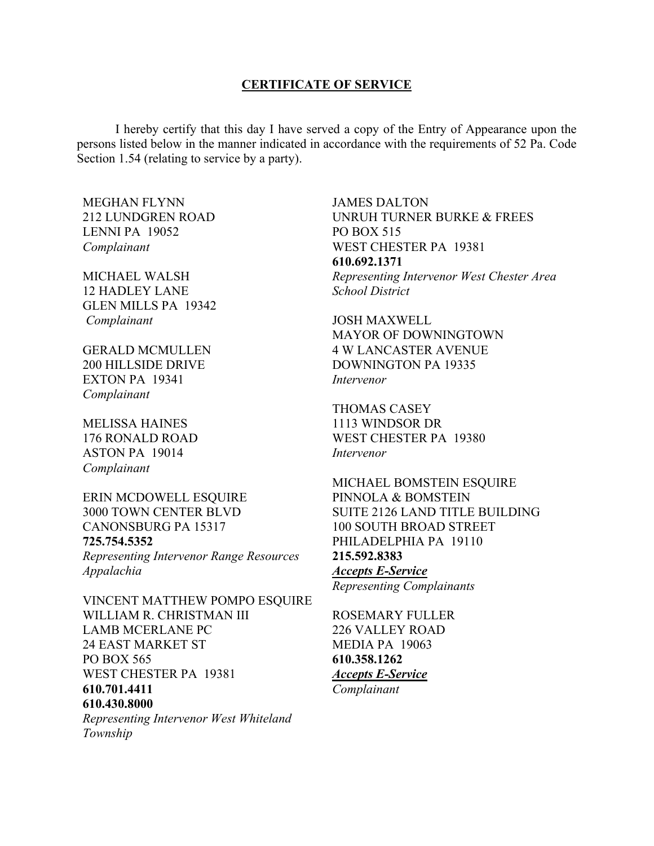#### **CERTIFICATE OF SERVICE**

 I hereby certify that this day I have served a copy of the Entry of Appearance upon the persons listed below in the manner indicated in accordance with the requirements of 52 Pa. Code Section 1.54 (relating to service by a party).

MEGHAN FLYNN 212 LUNDGREN ROAD LENNI PA 19052 *Complainant* 

MICHAEL WALSH 12 HADLEY LANE GLEN MILLS PA 19342  *Complainant* 

GERALD MCMULLEN 200 HILLSIDE DRIVE EXTON PA 19341 *Complainant* 

MELISSA HAINES 176 RONALD ROAD ASTON PA 19014 *Complainant* 

ERIN MCDOWELL ESQUIRE 3000 TOWN CENTER BLVD CANONSBURG PA 15317 **725.754.5352**  *Representing Intervenor Range Resources Appalachia* 

VINCENT MATTHEW POMPO ESQUIRE WILLIAM R. CHRISTMAN III LAMB MCERLANE PC 24 EAST MARKET ST PO BOX 565 WEST CHESTER PA 19381 **610.701.4411 610.430.8000** *Representing Intervenor West Whiteland Township* 

JAMES DALTON UNRUH TURNER BURKE & FREES PO BOX 515 WEST CHESTER PA 19381 **610.692.1371** *Representing Intervenor West Chester Area School District* 

JOSH MAXWELL MAYOR OF DOWNINGTOWN 4 W LANCASTER AVENUE DOWNINGTON PA 19335 *Intervenor* 

THOMAS CASEY 1113 WINDSOR DR WEST CHESTER PA 19380 *Intervenor* 

MICHAEL BOMSTEIN ESQUIRE PINNOLA & BOMSTEIN SUITE 2126 LAND TITLE BUILDING 100 SOUTH BROAD STREET PHILADELPHIA PA 19110 **215.592.8383**  *Accepts E-Service Representing Complainants* 

ROSEMARY FULLER 226 VALLEY ROAD MEDIA PA 19063 **610.358.1262** *Accepts E-Service Complainant*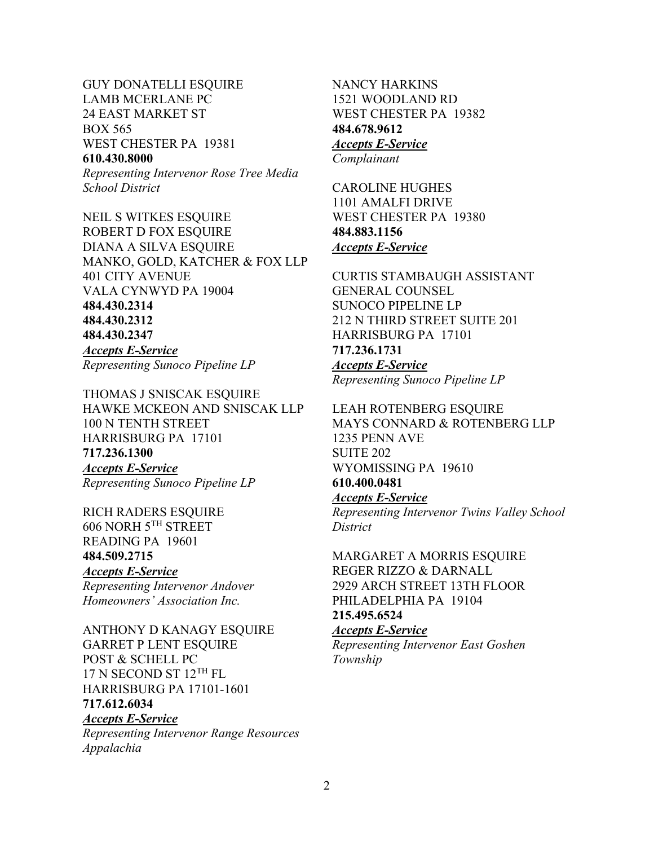GUY DONATELLI ESQUIRE LAMB MCERLANE PC 24 EAST MARKET ST BOX 565 WEST CHESTER PA 19381 **610.430.8000** *Representing Intervenor Rose Tree Media* 

*School District* 

NEIL S WITKES ESQUIRE ROBERT D FOX ESQUIRE DIANA A SILVA ESQUIRE MANKO, GOLD, KATCHER & FOX LLP 401 CITY AVENUE VALA CYNWYD PA 19004 **484.430.2314 484.430.2312 484.430.2347**  *Accepts E-Service Representing Sunoco Pipeline LP* 

THOMAS J SNISCAK ESQUIRE HAWKE MCKEON AND SNISCAK LLP 100 N TENTH STREET HARRISBURG PA 17101 **717.236.1300** *Accepts E-Service Representing Sunoco Pipeline LP* 

RICH RADERS ESQUIRE 606 NORH 5TH STREET READING PA 19601 **484.509.2715** *Accepts E-Service Representing Intervenor Andover Homeowners' Association Inc.* 

ANTHONY D KANAGY ESQUIRE GARRET P LENT ESQUIRE POST & SCHELL PC 17 N SECOND ST 12<sup>TH</sup> FL HARRISBURG PA 17101-1601 **717.612.6034**  *Accepts E-Service Representing Intervenor Range Resources Appalachia* 

NANCY HARKINS 1521 WOODLAND RD WEST CHESTER PA 19382 **484.678.9612** *Accepts E-Service Complainant* 

CAROLINE HUGHES 1101 AMALFI DRIVE WEST CHESTER PA 19380 **484.883.1156** *Accepts E-Service* 

CURTIS STAMBAUGH ASSISTANT GENERAL COUNSEL SUNOCO PIPELINE LP 212 N THIRD STREET SUITE 201 HARRISBURG PA 17101 **717.236.1731** *Accepts E-Service Representing Sunoco Pipeline LP* 

LEAH ROTENBERG ESQUIRE MAYS CONNARD & ROTENBERG LLP 1235 PENN AVE SUITE 202 WYOMISSING PA 19610 **610.400.0481** *Accepts E-Service Representing Intervenor Twins Valley School* 

*District*  MARGARET A MORRIS ESQUIRE

REGER RIZZO & DARNALL 2929 ARCH STREET 13TH FLOOR PHILADELPHIA PA 19104 **215.495.6524**

# *Accepts E-Service*

*Representing Intervenor East Goshen Township*